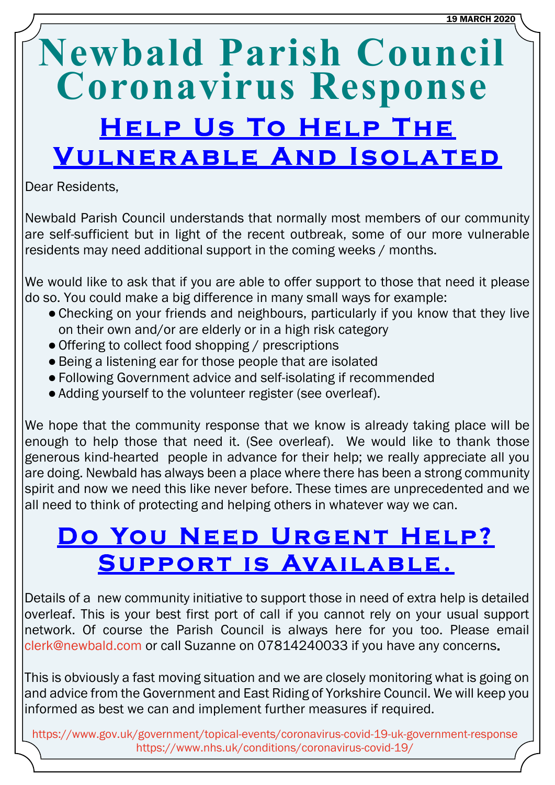# **Newbald Parish Council Coronavirus Response HELP US TO HELP THE VULNERABLE AND ISOLATED**

Dear Residents,

Newbald Parish Council understands that normally most members of our community are self-sufficient but in light of the recent outbreak, some of our more vulnerable residents may need additional support in the coming weeks / months.

We would like to ask that if you are able to offer support to those that need it please do so. You could make a big difference in many small ways for example:

- Checking on your friends and neighbours, particularly if you know that they live on their own and/or are elderly or in a high risk category
- Offering to collect food shopping / prescriptions
- ●Being a listening ear for those people that are isolated
- ●Following Government advice and self-isolating if recommended
- Adding yourself to the volunteer register (see overleaf).

We hope that the community response that we know is already taking place will be enough to help those that need it. (See overleaf). We would like to thank those generous kind-hearted people in advance for their help; we really appreciate all you are doing. Newbald has always been a place where there has been a strong community spirit and now we need this like never before. These times are unprecedented and we all need to think of protecting and helping others in whatever way we can.

## DO YOU NEED URGENT HELP? SUPPORT IS AVAILABLE.

Details of a new community initiative to support those in need of extra help is detailed overleaf. This is your best first port of call if you cannot rely on your usual support network. Of course the Parish Council is always here for you too. Please email [clerk@newbald.com](mailto:clerk@newbald.com) or call Suzanne on 07814240033 if you have any concerns

This is obviously a fast moving situation and we are closely monitoring what is going on and advice from the Government and East Riding of Yorkshire Council. We will keep you informed as best we can and implement further measures if required.

<https://www.gov.uk/government/topical-events/coronavirus-covid-19-uk-government-response> <https://www.nhs.uk/conditions/coronavirus-covid-19/>